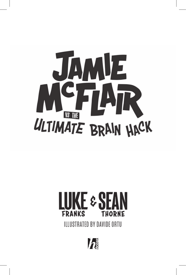

## IKE & SI **FRANKS THORNE**

**ILLUSTRATED BY DAVIDE ORTU** 

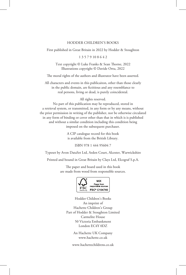## HODDER CHILDREN'S BOOKS

First published in Great Britain in 2022 by Hodder & Stoughton

1 3 5 7 9 10 8 6 4 2

Text copyright © Luke Franks & Sean Thorne, 2022 Illustrations copyright © Davide Ortu, 2022

The moral rights of the authors and illustrator have been asserted.

All characters and events in this publicaiton, other than those clearly in the public domain, are fictitious and any resemblance to real persons, living or dead, is purely coincidental.

All rights reserved.

No part of this publication may be reproduced, stored in a retrieval system, or transmitted, in any form or by any means, without the prior permission in writing of the publisher, nor be otherwise circulated in any form of binding or cover other than that in which is is published and without a similar condition including this condition being imposed on the subsequent purchaser.

> A CIP catalogue record for this book is available from the British Library.

> > ISBN 978 1 444 95604 7

Typeset by Avon DataSet Ltd, Arden Court, Alcester, Warwickshire

Printed and bound in Great Britain by Clays Ltd, Elcograf S.p.A.

The paper and board used in this book are made from wood from responsible sources.



Hodder Children's Books An imprint of Hachette Children's Group Part of Hodder & Stoughton Limited Carmelite House 50 Victoria Embankment London EC4Y 0DZ

> An Hachette UK Company www.hachette.co.uk

www.hachettechildrens.co.uk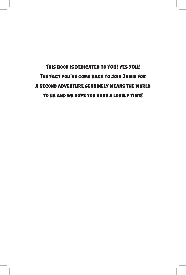**This book is dedicated to YOU! yes YOU! The fact you've come back to join Jamie for a second adventure genuinely means the world to us and we hope you have a lovely time!**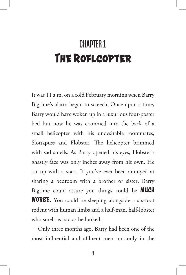## CHAPTER 1 **The Roflcopter**

It was 11 a.m. on a cold February morning when Barry Bigtime's alarm began to screech. Once upon a time, Barry would have woken up in a luxurious four-poster bed but now he was crammed into the back of a small helicopter with his undesirable roommates, Slottapuss and Flobster. The helicopter brimmed with sad smells. As Barry opened his eyes, Flobster's ghastly face was only inches away from his own. He sat up with a start. If you've ever been annoyed at sharing a bedroom with a brother or sister, Barry Bigtime could assure you things could be **MUCH WORSE.** You could be sleeping alongside a six-foot rodent with human limbs and a half-man, half-lobster who smelt as bad as he looked.

Only three months ago, Barry had been one of the most influential and affluent men not only in the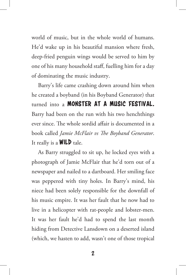world of music, but in the whole world of humans. He'd wake up in his beautiful mansion where fresh, deep-fried penguin wings would be served to him by one of his many household staff, fuelling him for a day of dominating the music industry.

Barry's life came crashing down around him when he created a boyband (in his Boyband Generator) that turned into a **MONSTER AT A MUSIC FESTIVAL.** Barry had been on the run with his two henchthings ever since. The whole sordid affair is documented in a book called *Jamie McFlair vs The Boyband Generator*. It really is a  $WILD$  tale.

As Barry struggled to sit up, he locked eyes with a photograph of Jamie McFlair that he'd torn out of a newspaper and nailed to a dartboard. Her smiling face was peppered with tiny holes. In Barry's mind, his niece had been solely responsible for the downfall of his music empire. It was her fault that he now had to live in a helicopter with rat-people and lobster-men. It was her fault he'd had to spend the last month hiding from Detective Lansdown on a deserted island (which, we hasten to add, wasn't one of those tropical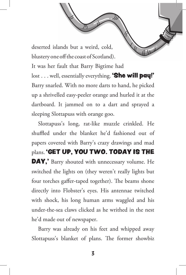deserted islands but a weird, cold, blustery one off the coast of Scotland).

It was her fault that Barry Bigtime had lost . . . well, essentially everything. **'She will pay!'** Barry snarled. With no more darts to hand, he picked up a shrivelled easy-peeler orange and hurled it at the dartboard. It jammed on to a dart and sprayed a sleeping Slottapuss with orange goo.

Slottapuss's long, rat-like muzzle crinkled. He shuffled under the blanket he'd fashioned out of papers covered with Barry's crazy drawings and mad plans. 'GET UP, YOU TWO. TODAY IS THE DAY,' Barry shouted with unnecessary volume. He switched the lights on (they weren't really lights but four torches gaffer-taped together). The beams shone directly into Flobster's eyes. His antennae twitched with shock, his long human arms waggled and his under-the-sea claws clicked as he writhed in the nest he'd made out of newspaper.

Barry was already on his feet and whipped away Slottapuss's blanket of plans. The former showbiz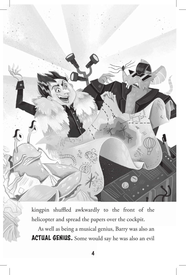

kingpin shuffled awkwardly to the front of the helicopter and spread the papers over the cockpit.

As well as being a musical genius, Barry was also an ACTUAL GENIUS. Some would say he was also an evil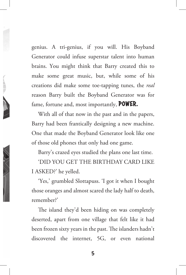genius. A tri-genius, if you will. His Boyband Generator could infuse superstar talent into human brains. You might think that Barry created this to make some great music, but, while some of his creations did make some toe-tapping tunes, the *real* reason Barry built the Boyband Generator was for fame, fortune and, most importantly, POWER.

With all of that now in the past and in the papers, Barry had been frantically designing a new machine. One that made the Boyband Generator look like one of those old phones that only had one game.

Barry's crazed eyes studied the plans one last time.

'DID YOU GET THE BIRTHDAY CARD LIKE I ASKED?' he yelled.

'Yes,' grumbled Slottapuss. 'I got it when I bought those oranges and almost scared the lady half to death, remember?'

The island they'd been hiding on was completely deserted, apart from one village that felt like it had been frozen sixty years in the past. The islanders hadn't discovered the internet, 5G, or even national